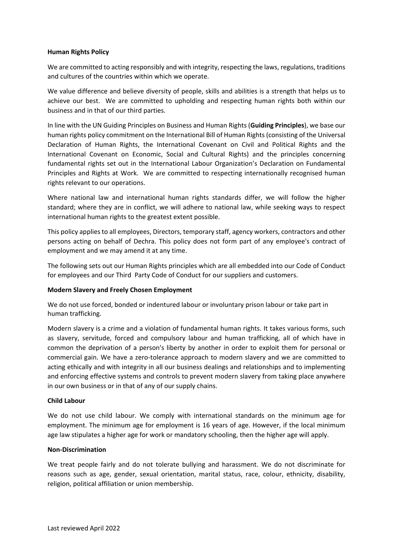# **Human Rights Policy**

We are committed to acting responsibly and with integrity, respecting the laws, regulations, traditions and cultures of the countries within which we operate.

We value difference and believe diversity of people, skills and abilities is a strength that helps us to achieve our best. We are committed to upholding and respecting human rights both within our business and in that of our third parties.

In line with the UN Guiding Principles on Business and Human Rights (**Guiding Principles**), we base our human rights policy commitment on the International Bill of Human Rights (consisting of the Universal Declaration of Human Rights, the International Covenant on Civil and Political Rights and the International Covenant on Economic, Social and Cultural Rights) and the principles concerning fundamental rights set out in the International Labour Organization's Declaration on Fundamental Principles and Rights at Work. We are committed to respecting internationally recognised human rights relevant to our operations.

Where national law and international human rights standards differ, we will follow the higher standard; where they are in conflict, we will adhere to national law, while seeking ways to respect international human rights to the greatest extent possible.

This policy appliesto all employees, Directors, temporary staff, agency workers, contractors and other persons acting on behalf of Dechra. This policy does not form part of any employee's contract of employment and we may amend it at any time.

The following sets out our Human Rights principles which are all embedded into our Code of Conduct for employees and our Third Party Code of Conduct for our suppliers and customers.

### **Modern Slavery and Freely Chosen Employment**

We do not use forced, bonded or indentured labour or involuntary prison labour or take part in human trafficking.

Modern slavery is a crime and a violation of fundamental human rights. It takes various forms, such as slavery, servitude, forced and compulsory labour and human trafficking, all of which have in common the deprivation of a person's liberty by another in order to exploit them for personal or commercial gain. We have a zero-tolerance approach to modern slavery and we are committed to acting ethically and with integrity in all our business dealings and relationships and to implementing and enforcing effective systems and controls to prevent modern slavery from taking place anywhere in our own business or in that of any of our supply chains.

### **Child Labour**

We do not use child labour. We comply with international standards on the minimum age for employment. The minimum age for employment is 16 years of age. However, if the local minimum age law stipulates a higher age for work or mandatory schooling, then the higher age will apply.

### **Non-Discrimination**

We treat people fairly and do not tolerate bullying and harassment. We do not discriminate for reasons such as age, gender, sexual orientation, marital status, race, colour, ethnicity, disability, religion, political affiliation or union membership.